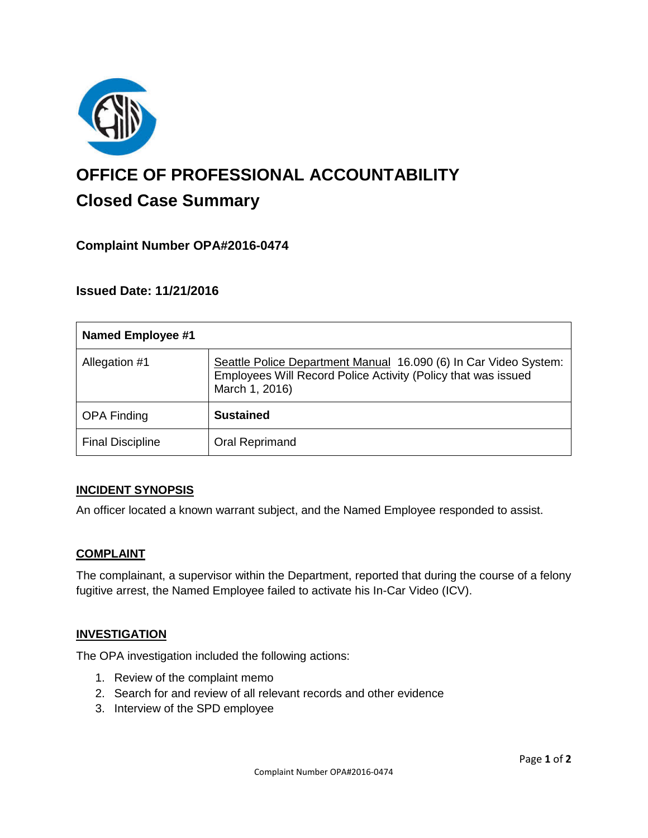

# **OFFICE OF PROFESSIONAL ACCOUNTABILITY Closed Case Summary**

## **Complaint Number OPA#2016-0474**

## **Issued Date: 11/21/2016**

| <b>Named Employee #1</b> |                                                                                                                                                     |
|--------------------------|-----------------------------------------------------------------------------------------------------------------------------------------------------|
| Allegation #1            | Seattle Police Department Manual 16.090 (6) In Car Video System:<br>Employees Will Record Police Activity (Policy that was issued<br>March 1, 2016) |
| <b>OPA Finding</b>       | <b>Sustained</b>                                                                                                                                    |
| <b>Final Discipline</b>  | Oral Reprimand                                                                                                                                      |

#### **INCIDENT SYNOPSIS**

An officer located a known warrant subject, and the Named Employee responded to assist.

#### **COMPLAINT**

The complainant, a supervisor within the Department, reported that during the course of a felony fugitive arrest, the Named Employee failed to activate his In-Car Video (ICV).

#### **INVESTIGATION**

The OPA investigation included the following actions:

- 1. Review of the complaint memo
- 2. Search for and review of all relevant records and other evidence
- 3. Interview of the SPD employee